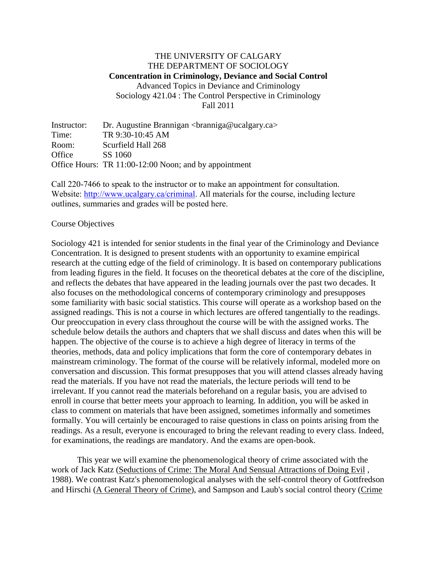## THE UNIVERSITY OF CALGARY THE DEPARTMENT OF SOCIOLOGY **Concentration in Criminology, Deviance and Social Control** Advanced Topics in Deviance and Criminology Sociology 421.04 : The Control Perspective in Criminology Fall 2011

Instructor: Dr. Augustine Brannigan <br/> <br/>  $\alpha$  <br/> $\alpha$  > Time: TR 9:30-10:45 AM Room: Scurfield Hall 268 Office SS 1060 Office Hours: TR 11:00-12:00 Noon; and by appointment

Call 220-7466 to speak to the instructor or to make an appointment for consultation. Website: [http://www.ucalgary.ca/criminal.](http://www.ucalgary.ca/criminal) All materials for the course, including lecture outlines, summaries and grades will be posted here.

#### Course Objectives

Sociology 421 is intended for senior students in the final year of the Criminology and Deviance Concentration. It is designed to present students with an opportunity to examine empirical research at the cutting edge of the field of criminology. It is based on contemporary publications from leading figures in the field. It focuses on the theoretical debates at the core of the discipline, and reflects the debates that have appeared in the leading journals over the past two decades. It also focuses on the methodological concerns of contemporary criminology and presupposes some familiarity with basic social statistics. This course will operate as a workshop based on the assigned readings. This is not a course in which lectures are offered tangentially to the readings. Our preoccupation in every class throughout the course will be with the assigned works. The schedule below details the authors and chapters that we shall discuss and dates when this will be happen. The objective of the course is to achieve a high degree of literacy in terms of the theories, methods, data and policy implications that form the core of contemporary debates in mainstream criminology. The format of the course will be relatively informal, modeled more on conversation and discussion. This format presupposes that you will attend classes already having read the materials. If you have not read the materials, the lecture periods will tend to be irrelevant. If you cannot read the materials beforehand on a regular basis, you are advised to enroll in course that better meets your approach to learning. In addition, you will be asked in class to comment on materials that have been assigned, sometimes informally and sometimes formally. You will certainly be encouraged to raise questions in class on points arising from the readings. As a result, everyone is encouraged to bring the relevant reading to every class. Indeed, for examinations, the readings are mandatory. And the exams are open-book.

This year we will examine the phenomenological theory of crime associated with the work of Jack Katz (Seductions of Crime: The Moral And Sensual Attractions of Doing Evil , 1988). We contrast Katz's phenomenological analyses with the self-control theory of Gottfredson and Hirschi (A General Theory of Crime), and Sampson and Laub's social control theory (Crime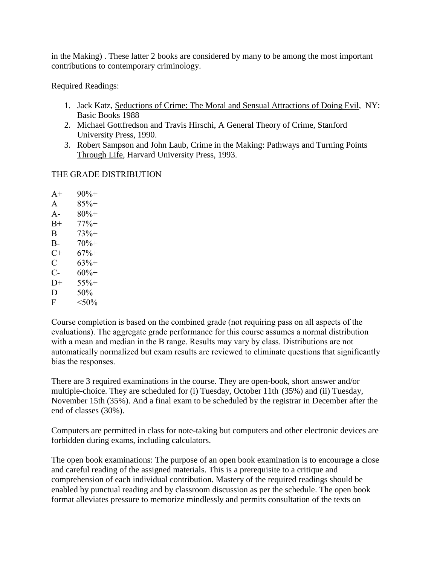in the Making) . These latter 2 books are considered by many to be among the most important contributions to contemporary criminology.

Required Readings:

- 1. Jack Katz, Seductions of Crime: The Moral and Sensual Attractions of Doing Evil, NY: Basic Books 1988
- 2. Michael Gottfredson and Travis Hirschi, A General Theory of Crime, Stanford University Press, 1990.
- 3. Robert Sampson and John Laub, Crime in the Making: Pathways and Turning Points Through Life, Harvard University Press, 1993.

# THE GRADE DISTRIBUTION

 $A+ 90%$ + A  $85\%+$ A-  $80\%$ +  $B+$  77%+  $B = 73\% +$  $B - 70% +$  $C+ 67\% +$  $C = 63\% +$  $C- 60%$ +  $D+$  55%+  $D = 50\%$ F  $< 50\%$ 

Course completion is based on the combined grade (not requiring pass on all aspects of the evaluations). The aggregate grade performance for this course assumes a normal distribution with a mean and median in the B range. Results may vary by class. Distributions are not automatically normalized but exam results are reviewed to eliminate questions that significantly bias the responses.

There are 3 required examinations in the course. They are open-book, short answer and/or multiple-choice. They are scheduled for (i) Tuesday, October 11th (35%) and (ii) Tuesday, November 15th (35%). And a final exam to be scheduled by the registrar in December after the end of classes (30%).

Computers are permitted in class for note-taking but computers and other electronic devices are forbidden during exams, including calculators.

The open book examinations: The purpose of an open book examination is to encourage a close and careful reading of the assigned materials. This is a prerequisite to a critique and comprehension of each individual contribution. Mastery of the required readings should be enabled by punctual reading and by classroom discussion as per the schedule. The open book format alleviates pressure to memorize mindlessly and permits consultation of the texts on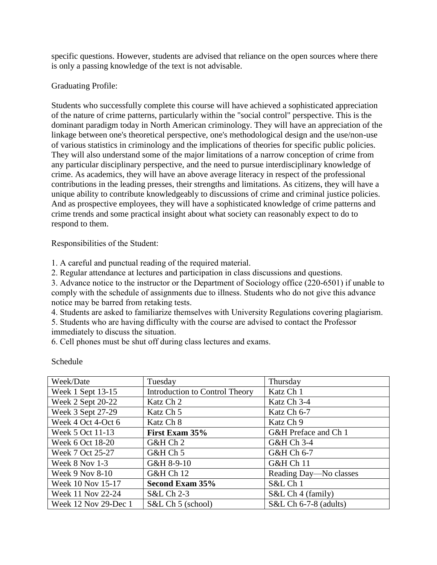specific questions. However, students are advised that reliance on the open sources where there is only a passing knowledge of the text is not advisable.

## Graduating Profile:

Students who successfully complete this course will have achieved a sophisticated appreciation of the nature of crime patterns, particularly within the "social control" perspective. This is the dominant paradigm today in North American criminology. They will have an appreciation of the linkage between one's theoretical perspective, one's methodological design and the use/non-use of various statistics in criminology and the implications of theories for specific public policies. They will also understand some of the major limitations of a narrow conception of crime from any particular disciplinary perspective, and the need to pursue interdisciplinary knowledge of crime. As academics, they will have an above average literacy in respect of the professional contributions in the leading presses, their strengths and limitations. As citizens, they will have a unique ability to contribute knowledgeably to discussions of crime and criminal justice policies. And as prospective employees, they will have a sophisticated knowledge of crime patterns and crime trends and some practical insight about what society can reasonably expect to do to respond to them.

Responsibilities of the Student:

1. A careful and punctual reading of the required material.

2. Regular attendance at lectures and participation in class discussions and questions.

3. Advance notice to the instructor or the Department of Sociology office (220-6501) if unable to comply with the schedule of assignments due to illness. Students who do not give this advance notice may be barred from retaking tests.

4. Students are asked to familiarize themselves with University Regulations covering plagiarism.

5. Students who are having difficulty with the course are advised to contact the Professor immediately to discuss the situation.

6. Cell phones must be shut off during class lectures and exams.

| Week/Date            | Tuesday                        | Thursday                |
|----------------------|--------------------------------|-------------------------|
| Week 1 Sept 13-15    | Introduction to Control Theory | Katz Ch 1               |
| Week 2 Sept 20-22    | Katz Ch 2                      | Katz Ch 3-4             |
| Week 3 Sept 27-29    | Katz Ch 5                      | Katz Ch 6-7             |
| Week 4 Oct 4-Oct 6   | Katz Ch 8                      | Katz Ch 9               |
| Week 5 Oct 11-13     | First Exam 35%                 | G&H Preface and Ch 1    |
| Week 6 Oct 18-20     | G&H Ch 2                       | G&H Ch 3-4              |
| Week 7 Oct 25-27     | G&H Ch 5                       | G&H Ch 6-7              |
| Week 8 Nov 1-3       | G&H 8-9-10                     | <b>G&amp;H Ch 11</b>    |
| Week 9 Nov 8-10      | <b>G&amp;H Ch 12</b>           | Reading Day—No classes  |
| Week 10 Nov 15-17    | Second Exam 35%                | S&L Ch 1                |
| Week 11 Nov 22-24    | S&L Ch 2-3                     | S&L Ch 4 (family)       |
| Week 12 Nov 29-Dec 1 | S&L Ch 5 (school)              | $S&L$ Ch 6-7-8 (adults) |

### Schedule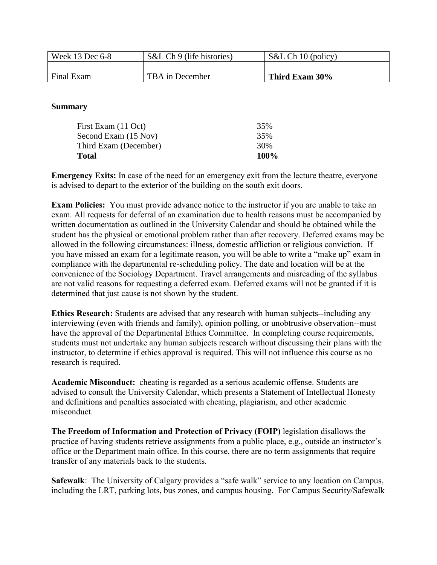| Week 13 Dec 6-8 | S&L Ch 9 (life histories) | S&L Ch 10 (policy) |
|-----------------|---------------------------|--------------------|
|                 |                           |                    |
| Final Exam      | TBA in December           | Third Exam 30%     |

### **Summary**

| $100\%$ |
|---------|
| 30%     |
| 35%     |
| 35%     |
|         |

**Emergency Exits:** In case of the need for an emergency exit from the lecture theatre, everyone is advised to depart to the exterior of the building on the south exit doors.

**Exam Policies:** You must provide advance notice to the instructor if you are unable to take an exam. All requests for deferral of an examination due to health reasons must be accompanied by written documentation as outlined in the University Calendar and should be obtained while the student has the physical or emotional problem rather than after recovery. Deferred exams may be allowed in the following circumstances: illness, domestic affliction or religious conviction. If you have missed an exam for a legitimate reason, you will be able to write a "make up" exam in compliance with the departmental re-scheduling policy. The date and location will be at the convenience of the Sociology Department. Travel arrangements and misreading of the syllabus are not valid reasons for requesting a deferred exam. Deferred exams will not be granted if it is determined that just cause is not shown by the student.

**Ethics Research:** Students are advised that any research with human subjects--including any interviewing (even with friends and family), opinion polling, or unobtrusive observation--must have the approval of the Departmental Ethics Committee. In completing course requirements, students must not undertake any human subjects research without discussing their plans with the instructor, to determine if ethics approval is required. This will not influence this course as no research is required.

**Academic Misconduct:** cheating is regarded as a serious academic offense. Students are advised to consult the University Calendar, which presents a Statement of Intellectual Honesty and definitions and penalties associated with cheating, plagiarism, and other academic misconduct.

**The Freedom of Information and Protection of Privacy (FOIP)** legislation disallows the practice of having students retrieve assignments from a public place, e.g., outside an instructor's office or the Department main office. In this course, there are no term assignments that require transfer of any materials back to the students.

**Safewalk**: The University of Calgary provides a "safe walk" service to any location on Campus, including the LRT, parking lots, bus zones, and campus housing. For Campus Security/Safewalk